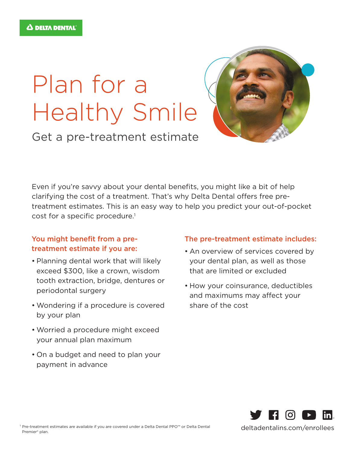## Plan for a Healthy Smile



Get a pre-treatment estimate

Even if you're savvy about your dental benefits, you might like a bit of help clarifying the cost of a treatment. That's why Delta Dental offers free pretreatment estimates. This is an easy way to help you predict your out-of-pocket cost for a specific procedure.<sup>1</sup>

### You might benefit from a pretreatment estimate if you are:

- Planning dental work that will likely exceed \$300, like a crown, wisdom tooth extraction, bridge, dentures or periodontal surgery
- Wondering if a procedure is covered by your plan
- Worried a procedure might exceed your annual plan maximum
- On a budget and need to plan your payment in advance

#### The pre-treatment estimate includes:

- An overview of services covered by your dental plan, as well as those that are limited or excluded
- How your coinsurance, deductibles and maximums may affect your share of the cost



<sup>1</sup> Pre-treatment estimates are available if you are covered under a Delta Dental PPO™ or Delta Dental **deltadentalins.com/enrollees**<br>Premier® plan.